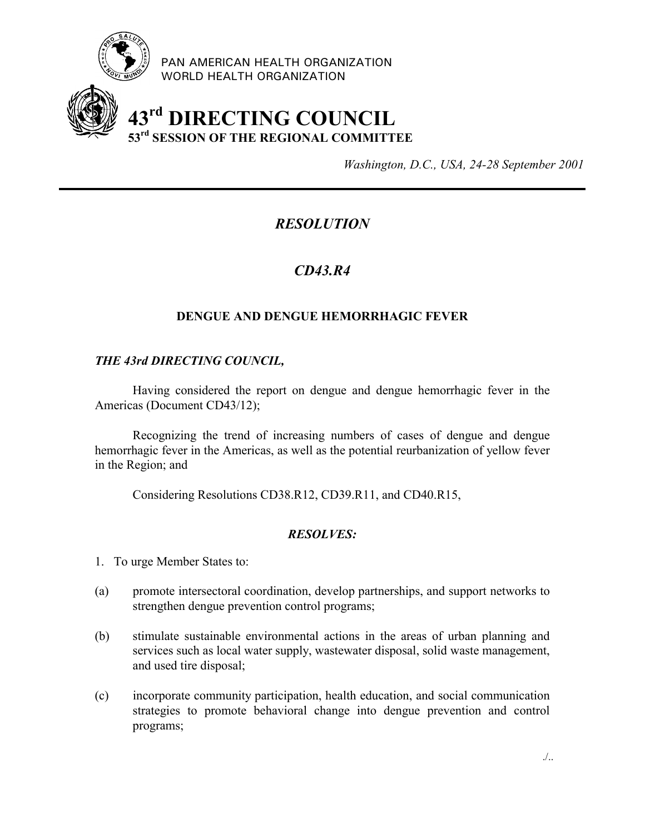

PAN AMERICAN HEALTH ORGANIZATION WORLD HEALTH ORGANIZATION

# **43rd DIRECTING COUNCIL 53rd SESSION OF THE REGIONAL COMMITTEE**

*Washington, D.C., USA, 24-28 September 2001*

## *RESOLUTION*

## *CD43.R4*

### **DENGUE AND DENGUE HEMORRHAGIC FEVER**

#### *THE 43rd DIRECTING COUNCIL,*

Having considered the report on dengue and dengue hemorrhagic fever in the Americas (Document CD43/12);

Recognizing the trend of increasing numbers of cases of dengue and dengue hemorrhagic fever in the Americas, as well as the potential reurbanization of yellow fever in the Region; and

Considering Resolutions CD38.R12, CD39.R11, and CD40.R15,

#### *RESOLVES:*

- 1. To urge Member States to:
- (a) promote intersectoral coordination, develop partnerships, and support networks to strengthen dengue prevention control programs;
- (b) stimulate sustainable environmental actions in the areas of urban planning and services such as local water supply, wastewater disposal, solid waste management, and used tire disposal;
- (c) incorporate community participation, health education, and social communication strategies to promote behavioral change into dengue prevention and control programs;